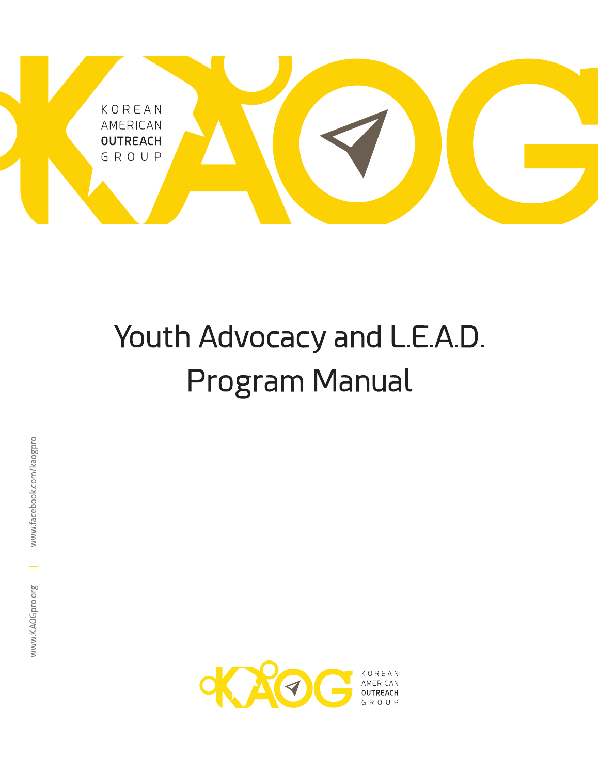

# Youth Advocacy and L.E.A.D. Program Manual

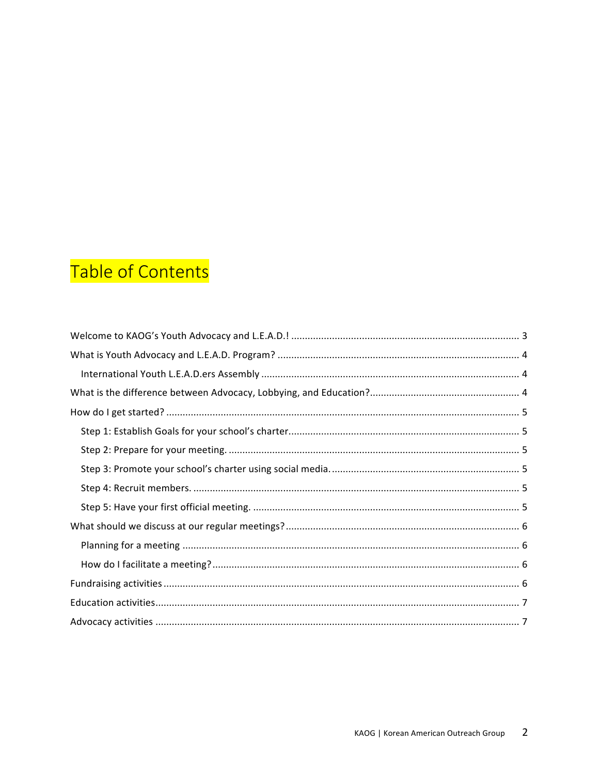## Table of Contents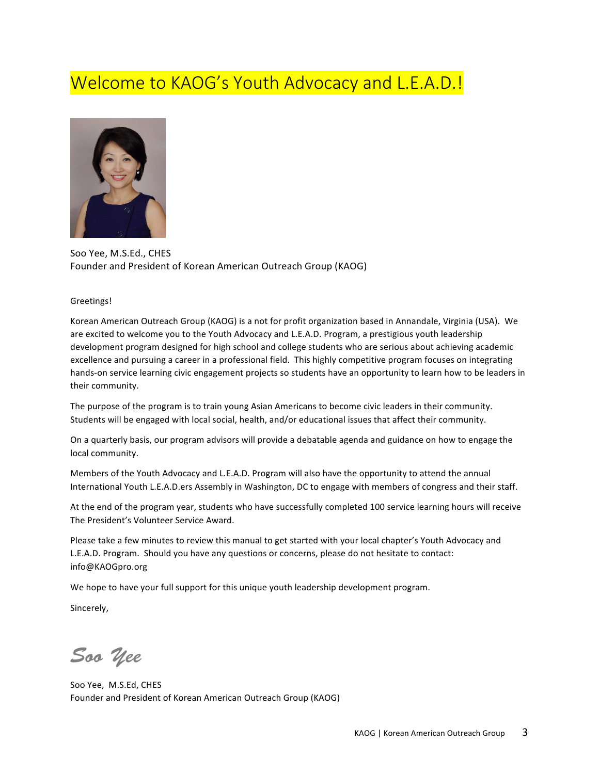### Welcome to KAOG's Youth Advocacy and L.E.A.D.!



Soo Yee, M.S.Ed., CHES Founder and President of Korean American Outreach Group (KAOG)

#### Greetings!

Korean American Outreach Group (KAOG) is a not for profit organization based in Annandale, Virginia (USA). We are excited to welcome you to the Youth Advocacy and L.E.A.D. Program, a prestigious youth leadership development program designed for high school and college students who are serious about achieving academic excellence and pursuing a career in a professional field. This highly competitive program focuses on integrating hands-on service learning civic engagement projects so students have an opportunity to learn how to be leaders in their community.

The purpose of the program is to train young Asian Americans to become civic leaders in their community. Students will be engaged with local social, health, and/or educational issues that affect their community.

On a quarterly basis, our program advisors will provide a debatable agenda and guidance on how to engage the local community.

Members of the Youth Advocacy and L.E.A.D. Program will also have the opportunity to attend the annual International Youth L.E.A.D.ers Assembly in Washington, DC to engage with members of congress and their staff.

At the end of the program year, students who have successfully completed 100 service learning hours will receive The President's Volunteer Service Award.

Please take a few minutes to review this manual to get started with your local chapter's Youth Advocacy and L.E.A.D. Program. Should you have any questions or concerns, please do not hesitate to contact: info@KAOGpro.org

We hope to have your full support for this unique youth leadership development program.

Sincerely,

*Soo Yee*

Soo Yee, M.S.Ed, CHES Founder and President of Korean American Outreach Group (KAOG)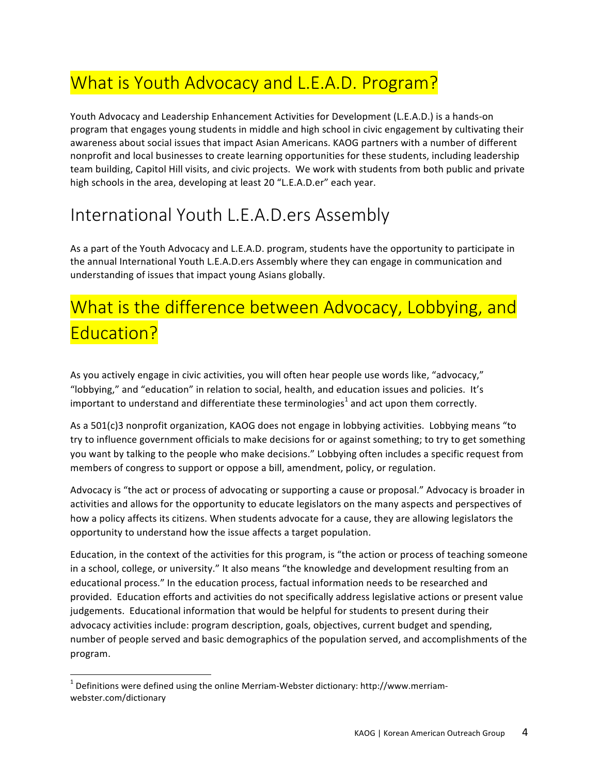### What is Youth Advocacy and L.E.A.D. Program?

Youth Advocacy and Leadership Enhancement Activities for Development (L.E.A.D.) is a hands-on program that engages young students in middle and high school in civic engagement by cultivating their awareness about social issues that impact Asian Americans. KAOG partners with a number of different nonprofit and local businesses to create learning opportunities for these students, including leadership team building, Capitol Hill visits, and civic projects. We work with students from both public and private high schools in the area, developing at least 20 "L.E.A.D.er" each year.

### International Youth L.E.A.D.ers Assembly

As a part of the Youth Advocacy and L.E.A.D. program, students have the opportunity to participate in the annual International Youth L.E.A.D.ers Assembly where they can engage in communication and understanding of issues that impact young Asians globally.

### What is the difference between Advocacy, Lobbying, and Education?

As you actively engage in civic activities, you will often hear people use words like, "advocacy," "lobbying," and "education" in relation to social, health, and education issues and policies. It's important to understand and differentiate these terminologies<sup>1</sup> and act upon them correctly.

As a 501(c)3 nonprofit organization, KAOG does not engage in lobbying activities. Lobbying means "to try to influence government officials to make decisions for or against something; to try to get something you want by talking to the people who make decisions." Lobbying often includes a specific request from members of congress to support or oppose a bill, amendment, policy, or regulation.

Advocacy is "the act or process of advocating or supporting a cause or proposal." Advocacy is broader in activities and allows for the opportunity to educate legislators on the many aspects and perspectives of how a policy affects its citizens. When students advocate for a cause, they are allowing legislators the opportunity to understand how the issue affects a target population.

Education, in the context of the activities for this program, is "the action or process of teaching someone in a school, college, or university." It also means "the knowledge and development resulting from an educational process." In the education process, factual information needs to be researched and provided. Education efforts and activities do not specifically address legislative actions or present value judgements. Educational information that would be helpful for students to present during their advocacy activities include: program description, goals, objectives, current budget and spending, number of people served and basic demographics of the population served, and accomplishments of the program.

<u> 1989 - Jan Samuel Barbara, margaret e</u>

 $1$  Definitions were defined using the online Merriam-Webster dictionary: http://www.merriamwebster.com/dictionary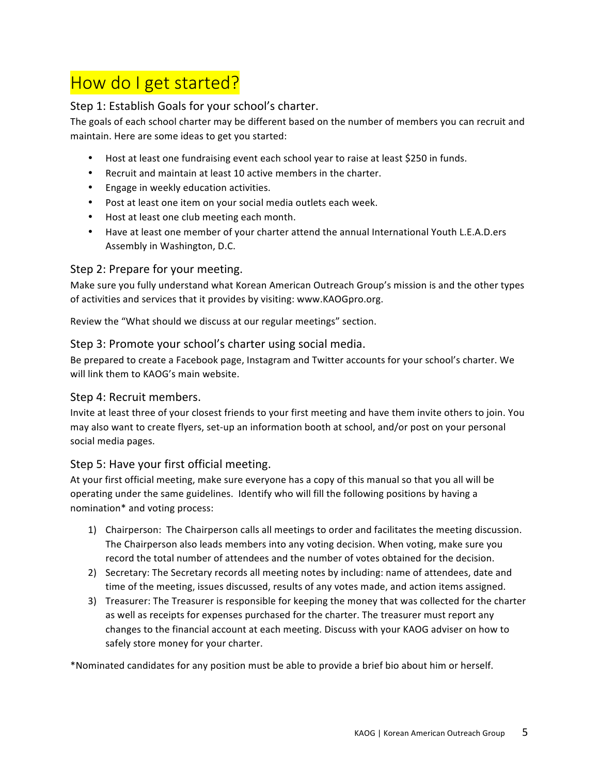### How do I get started?

#### Step 1: Establish Goals for your school's charter.

The goals of each school charter may be different based on the number of members you can recruit and maintain. Here are some ideas to get you started:

- Host at least one fundraising event each school year to raise at least \$250 in funds.
- Recruit and maintain at least 10 active members in the charter.
- Engage in weekly education activities.
- Post at least one item on your social media outlets each week.
- Host at least one club meeting each month.
- Have at least one member of your charter attend the annual International Youth L.E.A.D.ers Assembly in Washington, D.C.

#### Step 2: Prepare for your meeting.

Make sure you fully understand what Korean American Outreach Group's mission is and the other types of activities and services that it provides by visiting: www.KAOGpro.org.

Review the "What should we discuss at our regular meetings" section.

#### Step 3: Promote your school's charter using social media.

Be prepared to create a Facebook page, Instagram and Twitter accounts for your school's charter. We will link them to KAOG's main website.

#### Step 4: Recruit members.

Invite at least three of your closest friends to your first meeting and have them invite others to join. You may also want to create flyers, set-up an information booth at school, and/or post on your personal social media pages.

#### Step 5: Have your first official meeting.

At your first official meeting, make sure everyone has a copy of this manual so that you all will be operating under the same guidelines. Identify who will fill the following positions by having a nomination\* and voting process:

- 1) Chairperson: The Chairperson calls all meetings to order and facilitates the meeting discussion. The Chairperson also leads members into any voting decision. When voting, make sure you record the total number of attendees and the number of votes obtained for the decision.
- 2) Secretary: The Secretary records all meeting notes by including: name of attendees, date and time of the meeting, issues discussed, results of any votes made, and action items assigned.
- 3) Treasurer: The Treasurer is responsible for keeping the money that was collected for the charter as well as receipts for expenses purchased for the charter. The treasurer must report any changes to the financial account at each meeting. Discuss with your KAOG adviser on how to safely store money for your charter.

\*Nominated candidates for any position must be able to provide a brief bio about him or herself.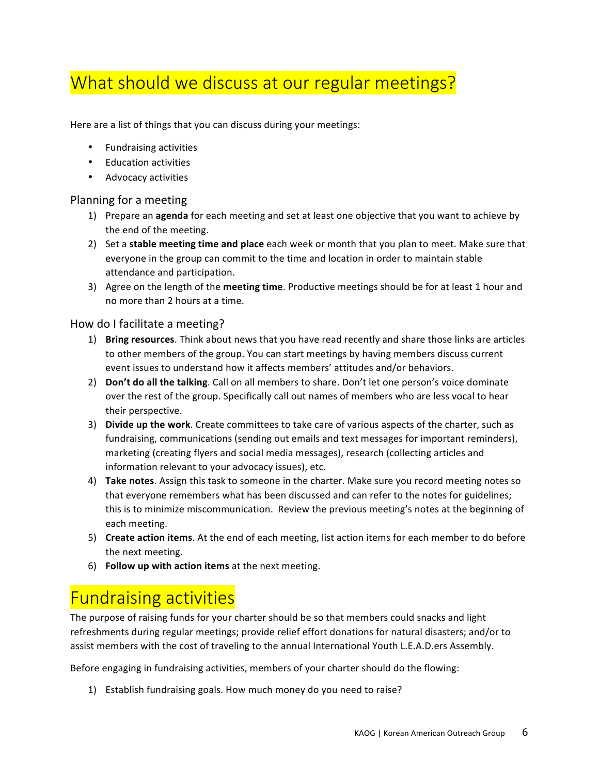### What should we discuss at our regular meetings?

Here are a list of things that you can discuss during your meetings:

- Fundraising activities
- Education activities
- Advocacy activities

#### Planning for a meeting

- 1) Prepare an **agenda** for each meeting and set at least one objective that you want to achieve by the end of the meeting.
- 2) Set a **stable meeting time and place** each week or month that you plan to meet. Make sure that everyone in the group can commit to the time and location in order to maintain stable attendance and participation.
- 3) Agree on the length of the **meeting time**. Productive meetings should be for at least 1 hour and no more than 2 hours at a time.

#### How do I facilitate a meeting?

- 1) Bring resources. Think about news that you have read recently and share those links are articles to other members of the group. You can start meetings by having members discuss current event issues to understand how it affects members' attitudes and/or behaviors.
- 2) **Don't do all the talking**. Call on all members to share. Don't let one person's voice dominate over the rest of the group. Specifically call out names of members who are less vocal to hear their perspective.
- 3) Divide up the work. Create committees to take care of various aspects of the charter, such as fundraising, communications (sending out emails and text messages for important reminders), marketing (creating flyers and social media messages), research (collecting articles and information relevant to your advocacy issues), etc.
- 4) **Take notes**. Assign this task to someone in the charter. Make sure you record meeting notes so that everyone remembers what has been discussed and can refer to the notes for guidelines; this is to minimize miscommunication. Review the previous meeting's notes at the beginning of each meeting.
- 5) Create action items. At the end of each meeting, list action items for each member to do before the next meeting.
- 6) **Follow up with action items** at the next meeting.

### Fundraising activities

The purpose of raising funds for your charter should be so that members could snacks and light refreshments during regular meetings; provide relief effort donations for natural disasters; and/or to assist members with the cost of traveling to the annual International Youth L.E.A.D.ers Assembly.

Before engaging in fundraising activities, members of your charter should do the flowing:

1) Establish fundraising goals. How much money do you need to raise?